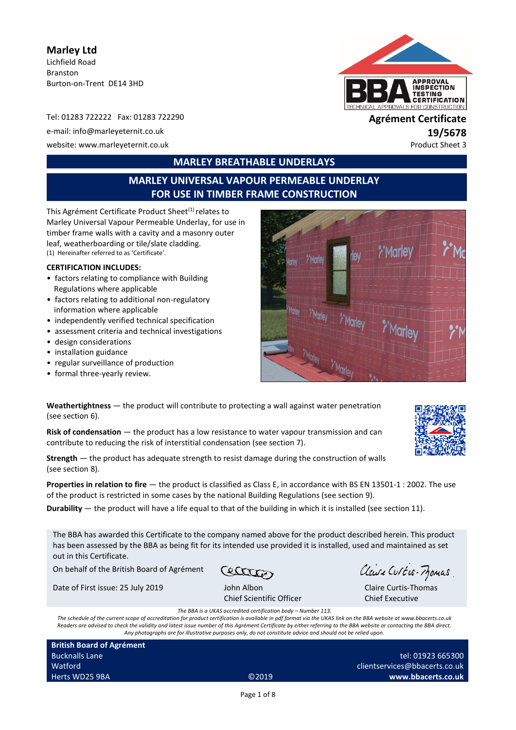**Marley Ltd**  Lichfield Road Branston Burton-on-Trent DE14 3HD

Tel: 01283 722222 Fax: 01283 722290 **Agrément Certificate** e-mail: info@marleyeternit.co.uk **19/5678** website: www.marleyeternit.co.uk example of the state of the state of the state of the state of the state of the state of the state of the state of the state of the state of the state of the state of the state of the state



# **MARLEY BREATHABLE UNDERLAYS**

# **MARLEY UNIVERSAL VAPOUR PERMEABLE UNDERLAY FOR USE IN TIMBER FRAME CONSTRUCTION**

This Agrément Certificate Product Sheet<sup>(1)</sup> relates to Marley Universal Vapour Permeable Underlay, for use in timber frame walls with a cavity and a masonry outer leaf, weatherboarding or tile/slate cladding. (1) Hereinafter referred to as 'Certificate'.

#### **CERTIFICATION INCLUDES:**

- factors relating to compliance with Building Regulations where applicable
- factors relating to additional non-regulatory information where applicable
- independently verified technical specification
- assessment criteria and technical investigations
- design considerations
- installation guidance
- regular surveillance of production
- formal three-yearly review.



| <b>Weathertightness</b> $-$ the product will contribute to protecting a wall against water penetration |  |
|--------------------------------------------------------------------------------------------------------|--|
| (see section 6).                                                                                       |  |

**Risk of condensation** — the product has a low resistance to water vapour transmission and can contribute to reducing the risk of interstitial condensation (see section 7).

**Strength** — the product has adequate strength to resist damage during the construction of walls (see section 8).

**Properties in relation to fire** — the product is classified as Class E, in accordance with BS EN 13501-1 : 2002. The use of the product is restricted in some cases by the national Building Regulations (see section 9).

**Durability** — the product will have a life equal to that of the building in which it is installed (see section 11).

The BBA has awarded this Certificate to the company named above for the product described herein. This product has been assessed by the BBA as being fit for its intended use provided it is installed, used and maintained as set out in this Certificate.

On behalf of the British Board of Agrément

Cetter

Date of First issue: 25 July 2019 John Albon

Chief Scientific Officer

Claire Curtis-Frances

Claire Curtis-Thomas Chief Executive

*The BBA is a UKAS accredited certification body – Number 113.*

*The schedule of the current scope of accreditation for product certification is available in pdf format via the UKAS link on the BBA website at www.bbacerts.co.uk Readers are advised to check the validity and latest issue number of this Agrément Certificate by either referring to the BBA website or contacting the BBA direct. Any photographs are for illustrative purposes only, do not constitute advice and should not be relied upon.*

**British Board of Agrément** Bucknalls Lane Watford Herts WD25 9BA ©2019

tel: 01923 665300 clientservices@bbacerts.co.uk **www.bbacerts.co.uk**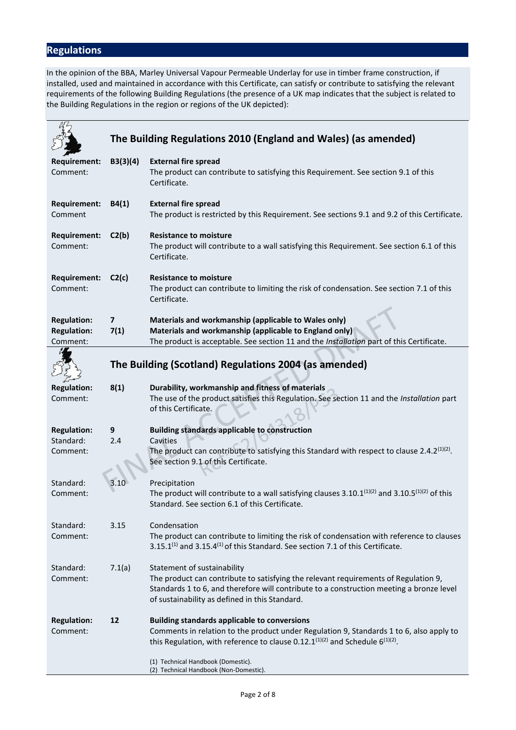# **Regulations**

In the opinion of the BBA, Marley Universal Vapour Permeable Underlay for use in timber frame construction, if installed, used and maintained in accordance with this Certificate, can satisfy or contribute to satisfying the relevant requirements of the following Building Regulations (the presence of a UK map indicates that the subject is related to the Building Regulations in the region or regions of the UK depicted):

|                                                      |                                 | The Building Regulations 2010 (England and Wales) (as amended)                                                                                                                                                                                                   |
|------------------------------------------------------|---------------------------------|------------------------------------------------------------------------------------------------------------------------------------------------------------------------------------------------------------------------------------------------------------------|
| <b>Requirement:</b><br>Comment:                      | B3(3)(4)                        | <b>External fire spread</b><br>The product can contribute to satisfying this Requirement. See section 9.1 of this<br>Certificate.                                                                                                                                |
| <b>Requirement:</b><br>Comment                       | B4(1)                           | <b>External fire spread</b><br>The product is restricted by this Requirement. See sections 9.1 and 9.2 of this Certificate.                                                                                                                                      |
| <b>Requirement:</b><br>Comment:                      | C2(b)                           | <b>Resistance to moisture</b><br>The product will contribute to a wall satisfying this Requirement. See section 6.1 of this<br>Certificate.                                                                                                                      |
| Requirement:<br>Comment:                             | C2(c)                           | <b>Resistance to moisture</b><br>The product can contribute to limiting the risk of condensation. See section 7.1 of this<br>Certificate.                                                                                                                        |
| <b>Regulation:</b><br><b>Regulation:</b><br>Comment: | $\overline{\mathbf{z}}$<br>7(1) | Materials and workmanship (applicable to Wales only)<br>Materials and workmanship (applicable to England only)<br>The product is acceptable. See section 11 and the Installation part of this Certificate.                                                       |
|                                                      |                                 | The Building (Scotland) Regulations 2004 (as amended)                                                                                                                                                                                                            |
| <b>Regulation:</b><br>Comment:                       | 8(1)                            | Durability, workmanship and fitness of materials<br>The use of the product satisfies this Regulation. See section 11 and the Installation part<br>of this Certificate.                                                                                           |
| <b>Regulation:</b><br>Standard:<br>Comment:          | 9<br>2.4                        | <b>Building standards applicable to construction</b><br>Cavities<br>The product can contribute to satisfying this Standard with respect to clause 2.4.2 <sup>(1)(2)</sup> .<br>See section 9.1 of this Certificate.                                              |
| Standard:<br>Comment:                                |                                 | Precipitation<br>The product will contribute to a wall satisfying clauses $3.10.1^{(1)(2)}$ and $3.10.5^{(1)(2)}$ of this<br>Standard. See section 6.1 of this Certificate.                                                                                      |
| Standard:<br>Comment:                                | 3.15                            | Condensation<br>The product can contribute to limiting the risk of condensation with reference to clauses<br>$3.15.1^{(1)}$ and $3.15.4^{(1)}$ of this Standard. See section 7.1 of this Certificate.                                                            |
| Standard:<br>Comment:                                | 7.1(a)                          | Statement of sustainability<br>The product can contribute to satisfying the relevant requirements of Regulation 9,<br>Standards 1 to 6, and therefore will contribute to a construction meeting a bronze level<br>of sustainability as defined in this Standard. |
| <b>Regulation:</b><br>Comment:                       | 12                              | <b>Building standards applicable to conversions</b><br>Comments in relation to the product under Regulation 9, Standards 1 to 6, also apply to<br>this Regulation, with reference to clause 0.12.1 <sup>(1)(2)</sup> and Schedule $6^{(1)(2)}$ .                 |
|                                                      |                                 | (1) Technical Handbook (Domestic).<br>(2) Technical Handbook (Non-Domestic).                                                                                                                                                                                     |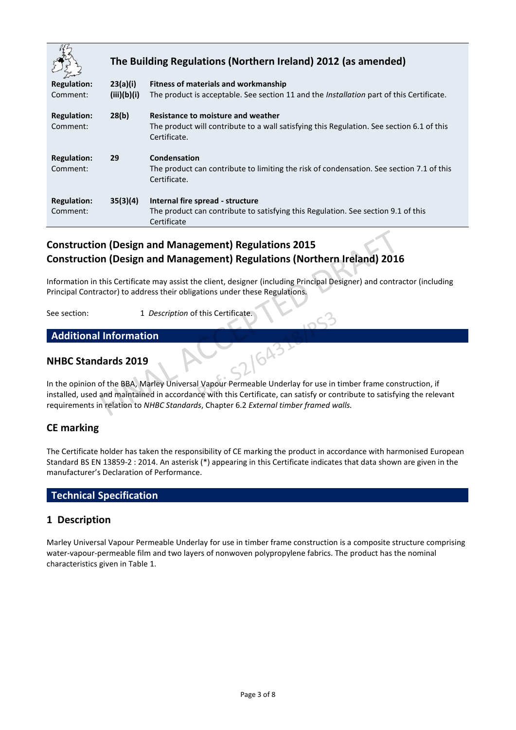|                                |             | The Building Regulations (Northern Ireland) 2012 (as amended)                                                                                   |
|--------------------------------|-------------|-------------------------------------------------------------------------------------------------------------------------------------------------|
| <b>Regulation:</b>             | 23(a)(i)    | Fitness of materials and workmanship                                                                                                            |
| Comment:                       | (iii)(b)(i) | The product is acceptable. See section 11 and the <i>Installation</i> part of this Certificate.                                                 |
| <b>Regulation:</b><br>Comment: | 28(b)       | Resistance to moisture and weather<br>The product will contribute to a wall satisfying this Regulation. See section 6.1 of this<br>Certificate. |
| <b>Regulation:</b><br>Comment: | 29          | Condensation<br>The product can contribute to limiting the risk of condensation. See section 7.1 of this<br>Certificate.                        |
| <b>Regulation:</b><br>Comment: | 35(3)(4)    | Internal fire spread - structure<br>The product can contribute to satisfying this Regulation. See section 9.1 of this<br>Certificate            |

# **Construction (Design and Management) Regulations 2015 Construction (Design and Management) Regulations (Northern Ireland) 2016**

Information in this Certificate may assist the client, designer (including Principal Designer) and contractor (including Principal Contractor) to address their obligations under these Regulations.

See section: 1 *Description* of this Certificate.

# **Additional Information**

## **NHBC Standards 2019**

In the opinion of the BBA, Marley Universal Vapour Permeable Underlay for use in timber frame construction, if installed, used and maintained in accordance with this Certificate, can satisfy or contribute to satisfying the relevant requirements in relation to *NHBC Standards*, Chapter 6.2 *External timber framed walls.*

16432

# **CE marking**

The Certificate holder has taken the responsibility of CE marking the product in accordance with harmonised European Standard BS EN 13859-2 : 2014. An asterisk (\*) appearing in this Certificate indicates that data shown are given in the manufacturer's Declaration of Performance.

### **Technical Specification**

### **1 Description**

Marley Universal Vapour Permeable Underlay for use in timber frame construction is a composite structure comprising water-vapour-permeable film and two layers of nonwoven polypropylene fabrics. The product has the nominal characteristics given in Table 1.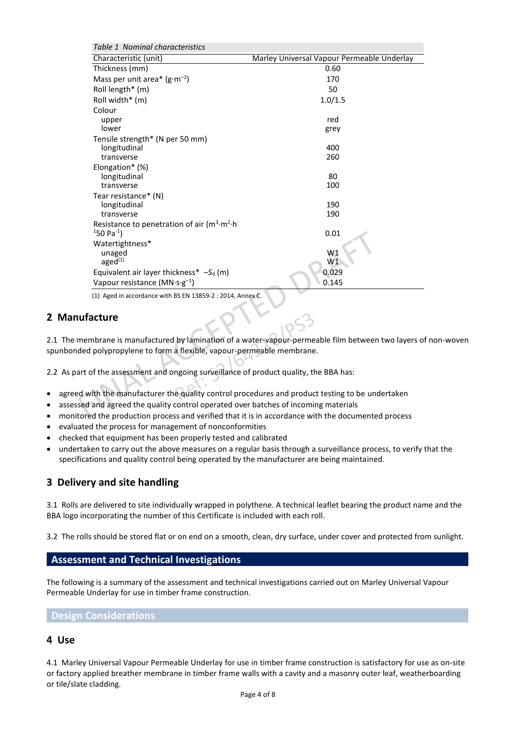| Table 1 Nominal characteristics                            |                                            |
|------------------------------------------------------------|--------------------------------------------|
| Characteristic (unit)                                      | Marley Universal Vapour Permeable Underlay |
| Thickness (mm)                                             | 0.60                                       |
| Mass per unit area* $(g \cdot m^{-2})$                     | 170                                        |
| Roll length* (m)                                           | 50                                         |
| Roll width* (m)                                            | 1.0/1.5                                    |
| Colour                                                     |                                            |
| upper                                                      | red                                        |
| lower                                                      | grey                                       |
| Tensile strength* (N per 50 mm)                            |                                            |
| longitudinal                                               | 400                                        |
| transverse                                                 | 260                                        |
| Elongation* (%)<br>longitudinal                            | 80                                         |
| transverse                                                 | 100                                        |
| Tear resistance* (N)                                       |                                            |
| longitudinal                                               | 190                                        |
| transverse                                                 | 190                                        |
| Resistance to penetration of air $(m^3 \cdot m^2 \cdot h)$ |                                            |
| $150$ Pa <sup>-1</sup> )                                   | 0.01                                       |
| Watertightness*                                            |                                            |
| unaged                                                     | W1                                         |
| aged <sup>(1)</sup>                                        | W1                                         |
| Equivalent air layer thickness* $-S_d$ (m)                 | 0.029                                      |
| Vapour resistance ( $MN \cdot s \cdot g^{-1}$ )            | 0.145                                      |

(1) Aged in accordance with BS EN 13859-2 : 2014, Annex C.

## **2 Manufacture**

2.1 The membrane is manufactured by lamination of a water-vapour-permeable film between two layers of non-woven spunbonded polypropylene to form a flexible, vapour-permeable membrane.

2.2 As part of the assessment and ongoing surveillance of product quality, the BBA has:

- agreed with the manufacturer the quality control procedures and product testing to be undertaken
- assessed and agreed the quality control operated over batches of incoming materials
- monitored the production process and verified that it is in accordance with the documented process
- evaluated the process for management of nonconformities
- checked that equipment has been properly tested and calibrated
- undertaken to carry out the above measures on a regular basis through a surveillance process, to verify that the specifications and quality control being operated by the manufacturer are being maintained.

### **3 Delivery and site handling**

3.1 Rolls are delivered to site individually wrapped in polythene. A technical leaflet bearing the product name and the BBA logo incorporating the number of this Certificate is included with each roll.

3.2 The rolls should be stored flat or on end on a smooth, clean, dry surface, under cover and protected from sunlight.

#### **Assessment and Technical Investigations**

The following is a summary of the assessment and technical investigations carried out on Marley Universal Vapour Permeable Underlay for use in timber frame construction.

#### **Design Considerations**

#### **4 Use**

4.1 Marley Universal Vapour Permeable Underlay for use in timber frame construction is satisfactory for use as on-site or factory applied breather membrane in timber frame walls with a cavity and a masonry outer leaf, weatherboarding or tile/slate cladding.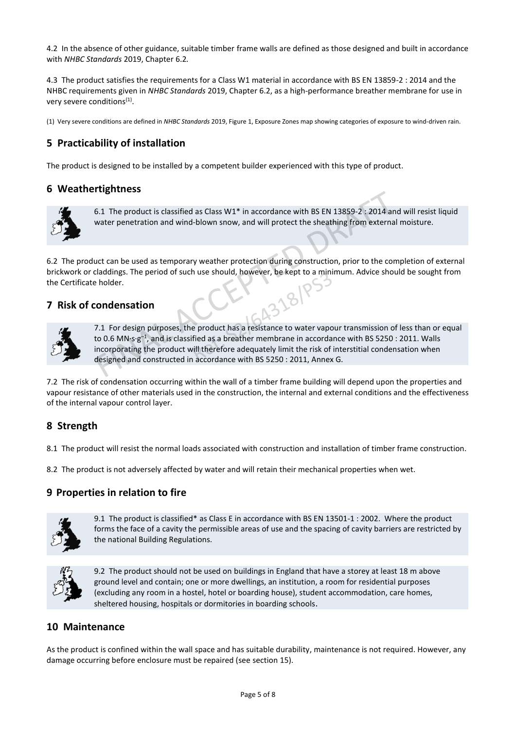4.2 In the absence of other guidance, suitable timber frame walls are defined as those designed and built in accordance with *NHBC Standards* 2019, Chapter 6.2*.*

4.3 The product satisfies the requirements for a Class W1 material in accordance with BS EN 13859-2 : 2014 and the NHBC requirements given in *NHBC Standards* 2019, Chapter 6.2, as a high-performance breather membrane for use in very severe conditions<sup>(1)</sup>.

(1) Very severe conditions are defined in *NHBC Standards* 2019, Figure 1, Exposure Zones map showing categories of exposure to wind-driven rain.

# **5 Practicability of installation**

The product is designed to be installed by a competent builder experienced with this type of product.

#### **6 Weathertightness**



6.1 The product is classified as Class W1\* in accordance with BS EN 13859-2 : 2014 and will resist liquid water penetration and wind-blown snow, and will protect the sheathing from external moisture.

6.2 The product can be used as temporary weather protection during construction, prior to the completion of external brickwork or claddings. The period of such use should, however, be kept to a minimum. Advice should be sought from the Certificate holder.

### **7 Risk of condensation**



7.1 For design purposes, the product has a resistance to water vapour transmission of less than or equal to 0.6 MN·s·g<sup>-1</sup>, and is classified as a breather membrane in accordance with BS 5250 : 2011. Walls incorporating the product will therefore adequately limit the risk of interstitial condensation when designed and constructed in accordance with BS 5250 : 2011, Annex G.

7.2 The risk of condensation occurring within the wall of a timber frame building will depend upon the properties and vapour resistance of other materials used in the construction, the internal and external conditions and the effectiveness of the internal vapour control layer.

### **8 Strength**

8.1 The product will resist the normal loads associated with construction and installation of timber frame construction.

8.2 The product is not adversely affected by water and will retain their mechanical properties when wet.

#### **9 Properties in relation to fire**



9.1 The product is classified\* as Class E in accordance with BS EN 13501-1 : 2002. Where the product forms the face of a cavity the permissible areas of use and the spacing of cavity barriers are restricted by the national Building Regulations.



9.2The product should not be used on buildings in England that have a storey at least 18 m above ground level and contain; one or more dwellings, an institution, a room for residential purposes (excluding any room in a hostel, hotel or boarding house), student accommodation, care homes, sheltered housing, hospitals or dormitories in boarding schools.

### **10 Maintenance**

As the product is confined within the wall space and has suitable durability, maintenance is not required. However, any damage occurring before enclosure must be repaired (see section 15).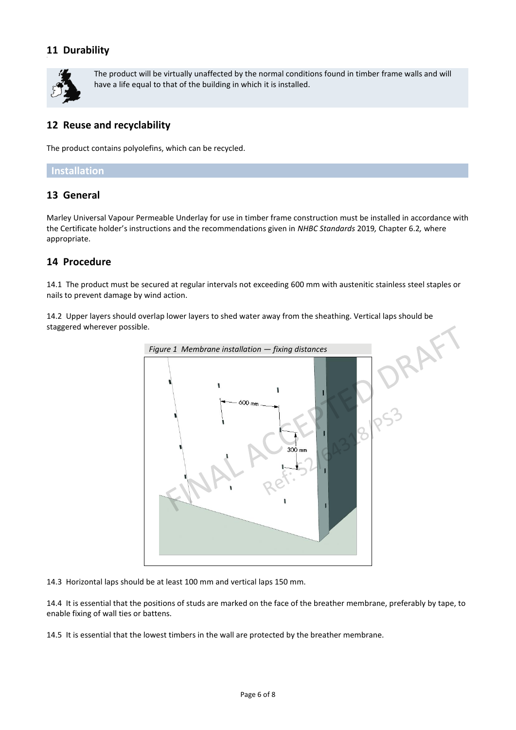# **11 Durability**



The product will be virtually unaffected by the normal conditions found in timber frame walls and will have a life equal to that of the building in which it is installed.

# **12 Reuse and recyclability**

The product contains polyolefins, which can be recycled.

#### **Installation**

## **13 General**

Marley Universal Vapour Permeable Underlay for use in timber frame construction must be installed in accordance with the Certificate holder's instructions and the recommendations given in *NHBC Standards* 2019*,* Chapter 6.2*,* where appropriate.

## **14 Procedure**

14.1 The product must be secured at regular intervals not exceeding 600 mm with austenitic stainless steel staples or nails to prevent damage by wind action.

14.2 Upper layers should overlap lower layers to shed water away from the sheathing. Vertical laps should be staggered wherever possible.



14.3 Horizontal laps should be at least 100 mm and vertical laps 150 mm.

14.4 It is essential that the positions of studs are marked on the face of the breather membrane, preferably by tape, to enable fixing of wall ties or battens.

14.5 It is essential that the lowest timbers in the wall are protected by the breather membrane.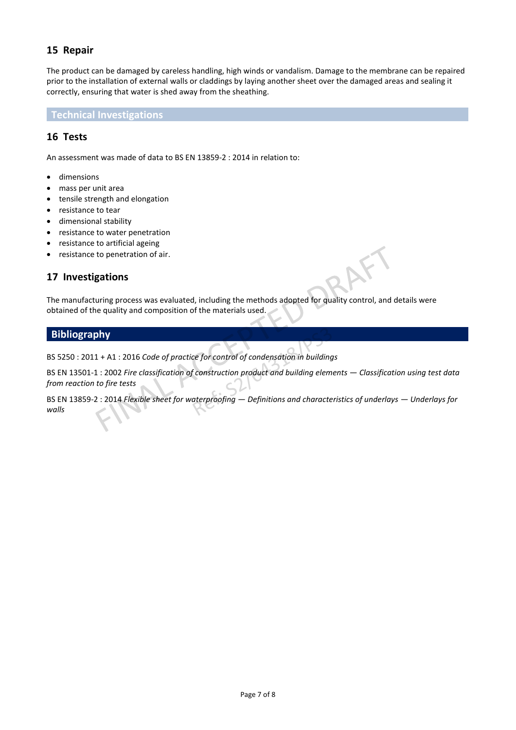# **15 Repair**

The product can be damaged by careless handling, high winds or vandalism. Damage to the membrane can be repaired prior to the installation of external walls or claddings by laying another sheet over the damaged areas and sealing it correctly, ensuring that water is shed away from the sheathing.

**Technical Investigations**

## **16 Tests**

An assessment was made of data to BS EN 13859-2 : 2014 in relation to:

- dimensions
- mass per unit area
- tensile strength and elongation
- resistance to tear
- dimensional stability
- resistance to water penetration
- resistance to artificial ageing
- resistance to penetration of air.

### **17 Investigations**

The manufacturing process was evaluated, including the methods adopted for quality control, and details were obtained of the quality and composition of the materials used.

#### **Bibliography**

BS 5250 : 2011 + A1 : 2016 *Code of practice for control of condensation in buildings* 

BS EN 13501-1 : 2002 *Fire classification of construction product and building elements — Classification using test data from reaction to fire tests* 

BS EN 13859-2 : 2014 *Flexible sheet for waterproofing — Definitions and characteristics of underlays — Underlays for walls*